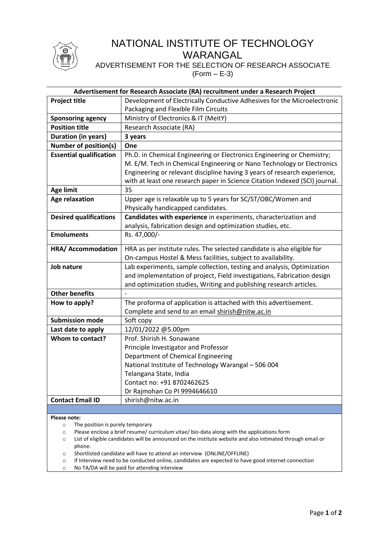

# NATIONAL INSTITUTE OF TECHNOLOGY WARANGAL

ADVERTISEMENT FOR THE SELECTION OF RESEARCH ASSOCIATE  $(Form – E-3)$ 

| Advertisement for Research Associate (RA) recruitment under a Research Project |                                                                                               |  |  |  |
|--------------------------------------------------------------------------------|-----------------------------------------------------------------------------------------------|--|--|--|
| <b>Project title</b>                                                           | Development of Electrically Conductive Adhesives for the Microelectronic                      |  |  |  |
|                                                                                | Packaging and Flexible Film Circuits                                                          |  |  |  |
| <b>Sponsoring agency</b>                                                       | Ministry of Electronics & IT (MeitY)                                                          |  |  |  |
| <b>Position title</b>                                                          | Research Associate (RA)                                                                       |  |  |  |
| <b>Duration (in years)</b>                                                     | 3 years                                                                                       |  |  |  |
| <b>Number of position(s)</b>                                                   | One                                                                                           |  |  |  |
| <b>Essential qualification</b>                                                 | Ph.D. in Chemical Engineering or Electronics Engineering or Chemistry;                        |  |  |  |
|                                                                                | M. E/M. Tech in Chemical Engineering or Nano Technology or Electronics                        |  |  |  |
|                                                                                | Engineering or relevant discipline having 3 years of research experience,                     |  |  |  |
|                                                                                | with at least one research paper in Science Citation Indexed (SCI) journal.                   |  |  |  |
| <b>Age limit</b>                                                               | 35                                                                                            |  |  |  |
| <b>Age relaxation</b>                                                          | Upper age is relaxable up to 5 years for SC/ST/OBC/Women and                                  |  |  |  |
|                                                                                | Physically handicapped candidates.                                                            |  |  |  |
| <b>Desired qualifications</b>                                                  | Candidates with experience in experiments, characterization and                               |  |  |  |
|                                                                                | analysis, fabrication design and optimization studies, etc.                                   |  |  |  |
| <b>Emoluments</b>                                                              | Rs. 47,000/-                                                                                  |  |  |  |
| HRA/ Accommodation                                                             | HRA as per institute rules. The selected candidate is also eligible for                       |  |  |  |
|                                                                                | On-campus Hostel & Mess facilities, subject to availability.                                  |  |  |  |
| Job nature                                                                     | Lab experiments, sample collection, testing and analysis, Optimization                        |  |  |  |
|                                                                                | and implementation of project, Field investigations, Fabrication design                       |  |  |  |
|                                                                                | and optimization studies, Writing and publishing research articles.                           |  |  |  |
| <b>Other benefits</b>                                                          |                                                                                               |  |  |  |
| How to apply?                                                                  | The proforma of application is attached with this advertisement.                              |  |  |  |
|                                                                                | Complete and send to an email shirish@nitw.ac.in                                              |  |  |  |
| <b>Submission mode</b>                                                         | Soft copy                                                                                     |  |  |  |
| Last date to apply                                                             | 12/01/2022 @5.00pm                                                                            |  |  |  |
| Whom to contact?                                                               | Prof. Shirish H. Sonawane                                                                     |  |  |  |
|                                                                                | Principle Investigator and Professor                                                          |  |  |  |
|                                                                                | Department of Chemical Engineering                                                            |  |  |  |
|                                                                                | National Institute of Technology Warangal - 506 004                                           |  |  |  |
|                                                                                | Telangana State, India                                                                        |  |  |  |
|                                                                                | Contact no: +91 8702462625                                                                    |  |  |  |
|                                                                                | Dr Rajmohan Co PI 9994646610                                                                  |  |  |  |
| <b>Contact Email ID</b>                                                        | shirish@nitw.ac.in                                                                            |  |  |  |
|                                                                                |                                                                                               |  |  |  |
| Please note:                                                                   |                                                                                               |  |  |  |
| The position is purely temporary<br>$\circ$                                    | Dlazes anclose a briof resume / surriculum vitae / bio, data along with the applications form |  |  |  |

- o Please enclose a brief resume/ curriculum vitae/ bio-data along with the applications form
- o List of eligible candidates will be announced on the institute website and also intimated through email or phone.
- o Shortlisted candidate will have to attend an interview (ONLINE/OFFLINE)
- o If Interview need to be conducted online, candidates are expected to have good internet connection
- o No TA/DA will be paid for attending interview